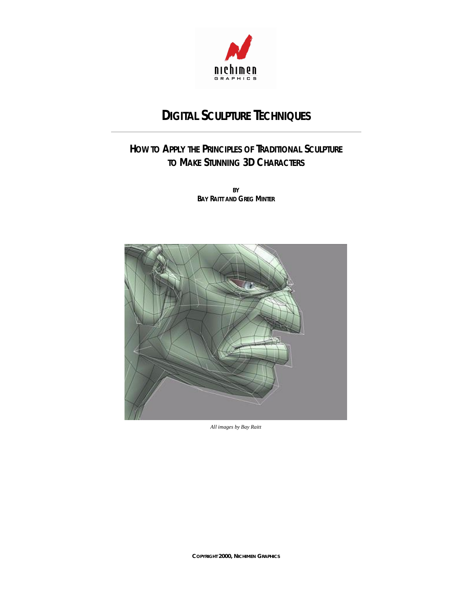

# **DIGITAL SCULPTURE TECHNIQUES**

# **HOW TO APPLY THE PRINCIPLES OF TRADITIONAL SCULPTURE TO MAKE STUNNING 3D CHARACTERS**

**BY BAY RAITT AND GREG MINTER**



*All images by Bay Raitt*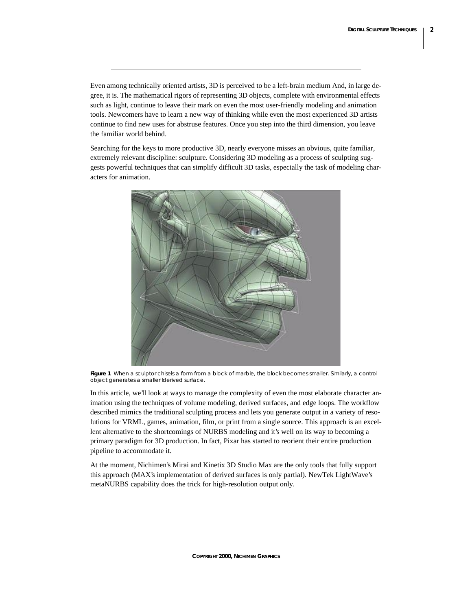Even among technically oriented artists, 3D is perceived to be a left-brain medium And, in large degree, it is. The mathematical rigors of representing 3D objects, complete with environmental effects such as light, continue to leave their mark on even the most user-friendly modeling and animation tools. Newcomers have to learn a new way of thinking while even the most experienced 3D artists continue to find new uses for abstruse features. Once you step into the third dimension, you leave the familiar world behind.

Searching for the keys to more productive 3D, nearly everyone misses an obvious, quite familiar, extremely relevant discipline: sculpture. Considering 3D modeling as a process of sculpting suggests powerful techniques that can simplify difficult 3D tasks, especially the task of modeling characters for animation.



**Figure 1** When a sculptor chisels a form from a block of marble, the block becomes smaller. Similarly, a control *object generates a smaller lderived surface.*

In this article, we'll look at ways to manage the complexity of even the most elaborate character animation using the techniques of volume modeling, derived surfaces, and edge loops. The workflow described mimics the traditional sculpting process and lets you generate output in a variety of resolutions for VRML, games, animation, film, or print from a single source. This approach is an excellent alternative to the shortcomings of NURBS modeling and it's well on its way to becoming a primary paradigm for 3D production. In fact, Pixar has started to reorient their entire production pipeline to accommodate it.

At the moment, Nichimen's Mirai and Kinetix 3D Studio Max are the only tools that fully support this approach (MAX's implementation of derived surfaces is only partial). NewTek LightWave's metaNURBS capability does the trick for high-resolution output only.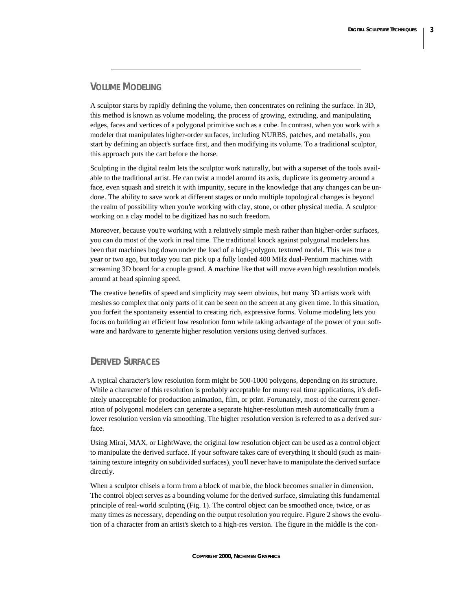#### **VOLUME MODELING**

A sculptor starts by rapidly defining the volume, then concentrates on refining the surface. In 3D, this method is known as volume modeling, the process of growing, extruding, and manipulating edges, faces and vertices of a polygonal primitive such as a cube. In contrast, when you work with a modeler that manipulates higher-order surfaces, including NURBS, patches, and metaballs, you start by defining an object's surface first, and then modifying its volume. To a traditional sculptor, this approach puts the cart before the horse.

Sculpting in the digital realm lets the sculptor work naturally, but with a superset of the tools available to the traditional artist. He can twist a model around its axis, duplicate its geometry around a face, even squash and stretch it with impunity, secure in the knowledge that any changes can be undone. The ability to save work at different stages or undo multiple topological changes is beyond the realm of possibility when you're working with clay, stone, or other physical media. A sculptor working on a clay model to be digitized has no such freedom.

Moreover, because you're working with a relatively simple mesh rather than higher-order surfaces, you can do most of the work in real time. The traditional knock against polygonal modelers has been that machines bog down under the load of a high-polygon, textured model. This was true a year or two ago, but today you can pick up a fully loaded 400 MHz dual-Pentium machines with screaming 3D board for a couple grand. A machine like that will move even high resolution models around at head spinning speed.

The creative benefits of speed and simplicity may seem obvious, but many 3D artists work with meshes so complex that only parts of it can be seen on the screen at any given time. In this situation, you forfeit the spontaneity essential to creating rich, expressive forms. Volume modeling lets you focus on building an efficient low resolution form while taking advantage of the power of your software and hardware to generate higher resolution versions using derived surfaces.

#### **DERIVED SURFACES**

A typical character's low resolution form might be 500-1000 polygons, depending on its structure. While a character of this resolution is probably acceptable for many real time applications, it's definitely unacceptable for production animation, film, or print. Fortunately, most of the current generation of polygonal modelers can generate a separate higher-resolution mesh automatically from a lower resolution version via smoothing. The higher resolution version is referred to as a derived surface.

Using Mirai, MAX, or LightWave, the original low resolution object can be used as a control object to manipulate the derived surface. If your software takes care of everything it should (such as maintaining texture integrity on subdivided surfaces), you'll never have to manipulate the derived surface directly.

When a sculptor chisels a form from a block of marble, the block becomes smaller in dimension. The control object serves as a bounding volume for the derived surface, simulating this fundamental principle of real-world sculpting (Fig. 1). The control object can be smoothed once, twice, or as many times as necessary, depending on the output resolution you require. Figure 2 shows the evolution of a character from an artist's sketch to a high-res version. The figure in the middle is the con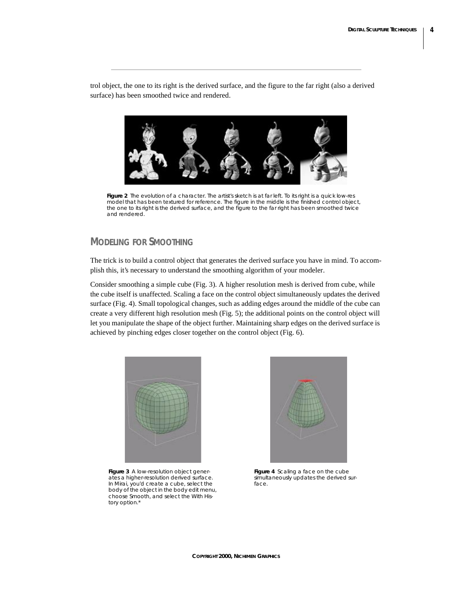trol object, the one to its right is the derived surface, and the figure to the far right (also a derived surface) has been smoothed twice and rendered.



*Figure 2 The evolution of a character. The artist's sketch is at far left. To its right is a quick low-res model that has been textured for reference. The figure in the middle is the finished control object, the one to its right is the derived surface, and the figure to the far right has been smoothed twice and rendered.* 

## **MODELING FOR SMOOTHING**

The trick is to build a control object that generates the derived surface you have in mind. To accomplish this, it's necessary to understand the smoothing algorithm of your modeler.

Consider smoothing a simple cube (Fig. 3). A higher resolution mesh is derived from cube, while the cube itself is unaffected. Scaling a face on the control object simultaneously updates the derived surface (Fig. 4). Small topological changes, such as adding edges around the middle of the cube can create a very different high resolution mesh (Fig. 5); the additional points on the control object will let you manipulate the shape of the object further. Maintaining sharp edges on the derived surface is achieved by pinching edges closer together on the control object (Fig. 6).



*Figure 3 A low-resolution object generates a higher-resolution derived surface. In Mirai, you'd create a cube, select the body of the object in the body edit menu, choose Smooth, and select the With History option.\** 



*Figure 4 Scaling a face on the cube simultaneously updates the derived surface.*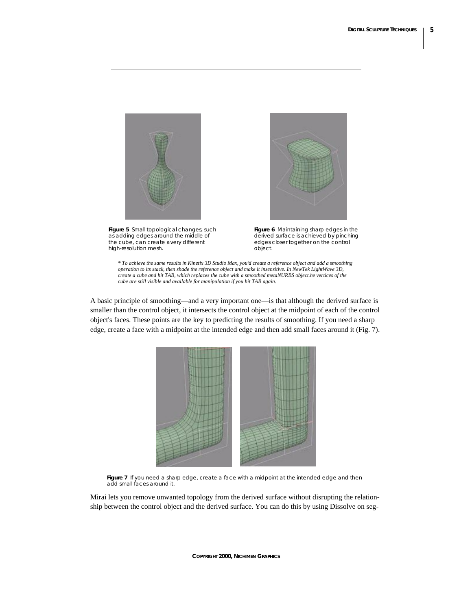

*Figure 5 Small topological changes, such as adding edges around the middle of the cube, can create avery different high-resolution mesh.* 



*Figure 6 Maintaining sharp edges in the derived surface is achieved by pinching edges closer together on the control object.* 

*\* To achieve the same results in Kinetix 3D Studio Max, you'd create a reference object and add a smoothing operation to its stack, then shade the reference object and make it insensitive. In NewTek LightWave 3D, create a cube and hit TAB, which replaces the cube with a smoothed metaNURBS object.he vertices of the cube are still visible and available for manipulation if you hit TAB again.* 

A basic principle of smoothing—and a very important one—is that although the derived surface is smaller than the control object, it intersects the control object at the midpoint of each of the control object's faces. These points are the key to predicting the results of smoothing. If you need a sharp edge, create a face with a midpoint at the intended edge and then add small faces around it (Fig. 7).



*Figure 7 If you need a sharp edge, create a face with a midpoint at the intended edge and then add small faces around it.* 

Mirai lets you remove unwanted topology from the derived surface without disrupting the relationship between the control object and the derived surface. You can do this by using Dissolve on seg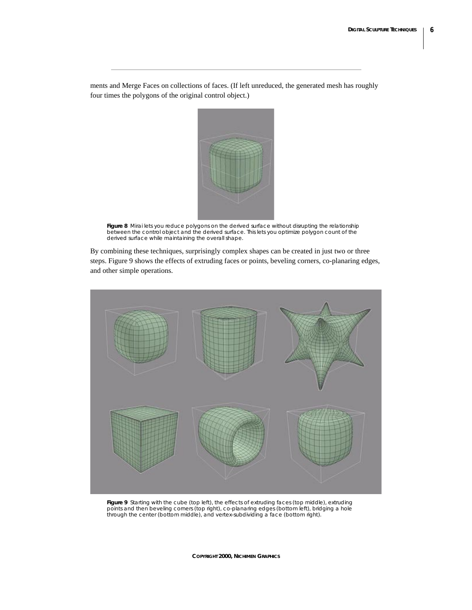ments and Merge Faces on collections of faces. (If left unreduced, the generated mesh has roughly four times the polygons of the original control object.)



*Figure 8 Mirai lets you reduce polygons on the derived surface without disrupting the relationship between the control object and the derived surface. This lets you optimize polygon count of the derived surface while maintaining the overall shape.* 

By combining these techniques, surprisingly complex shapes can be created in just two or three steps. Figure 9 shows the effects of extruding faces or points, beveling corners, co-planaring edges, and other simple operations.



*Figure 9 Starting with the cube (top left), the effects of extruding faces (top middle), extruding points and then beveling corners (top right), co-planaring edges (bottom left), bridging a hole through the center (bottom middle), and vertex-subdividing a face (bottom right).*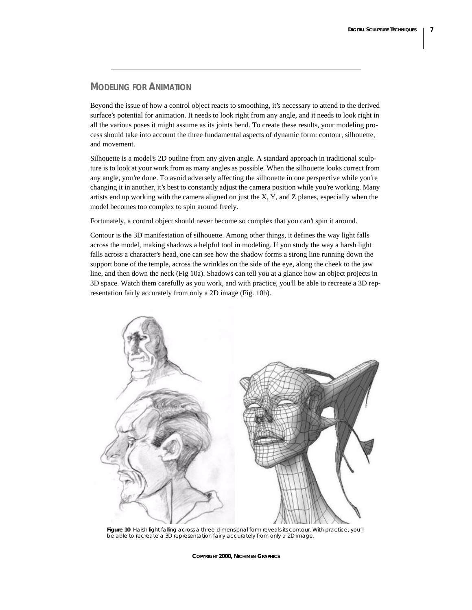#### **MODELING FOR ANIMATION**

Beyond the issue of how a control object reacts to smoothing, it's necessary to attend to the derived surface's potential for animation. It needs to look right from any angle, and it needs to look right in all the various poses it might assume as its joints bend. To create these results, your modeling process should take into account the three fundamental aspects of dynamic form: contour, silhouette, and movement.

Silhouette is a model's 2D outline from any given angle. A standard approach in traditional sculpture is to look at your work from as many angles as possible. When the silhouette looks correct from any angle, you're done. To avoid adversely affecting the silhouette in one perspective while you're changing it in another, it's best to constantly adjust the camera position while you're working. Many artists end up working with the camera aligned on just the X, Y, and Z planes, especially when the model becomes too complex to spin around freely.

Fortunately, a control object should never become so complex that you can't spin it around.

Contour is the 3D manifestation of silhouette. Among other things, it defines the way light falls across the model, making shadows a helpful tool in modeling. If you study the way a harsh light falls across a character's head, one can see how the shadow forms a strong line running down the support bone of the temple, across the wrinkles on the side of the eye, along the cheek to the jaw line, and then down the neck (Fig 10a). Shadows can tell you at a glance how an object projects in 3D space. Watch them carefully as you work, and with practice, you'll be able to recreate a 3D representation fairly accurately from only a 2D image (Fig. 10b).



*Figure 10 Harsh light falling across a three-dimensional form reveals its contour. With practice, you'll be able to recreate a 3D representation fairly accurately from only a 2D image.*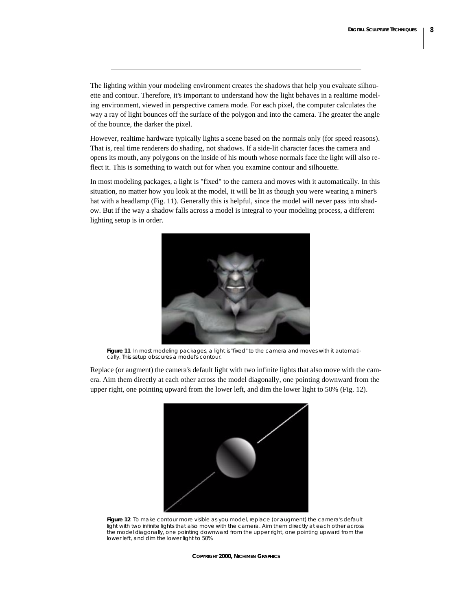The lighting within your modeling environment creates the shadows that help you evaluate silhouette and contour. Therefore, it's important to understand how the light behaves in a realtime modeling environment, viewed in perspective camera mode. For each pixel, the computer calculates the way a ray of light bounces off the surface of the polygon and into the camera. The greater the angle of the bounce, the darker the pixel.

However, realtime hardware typically lights a scene based on the normals only (for speed reasons). That is, real time renderers do shading, not shadows. If a side-lit character faces the camera and opens its mouth, any polygons on the inside of his mouth whose normals face the light will also reflect it. This is something to watch out for when you examine contour and silhouette.

In most modeling packages, a light is "fixed" to the camera and moves with it automatically. In this situation, no matter how you look at the model, it will be lit as though you were wearing a miner's hat with a headlamp (Fig. 11). Generally this is helpful, since the model will never pass into shadow. But if the way a shadow falls across a model is integral to your modeling process, a different lighting setup is in order.



*Figure 11 In most modeling packages, a light is "fixed" to the camera and moves with it automatically. This setup obscures a model's contour.* 

Replace (or augment) the camera's default light with two infinite lights that also move with the camera. Aim them directly at each other across the model diagonally, one pointing downward from the upper right, one pointing upward from the lower left, and dim the lower light to 50% (Fig. 12).



*Figure 12 To make contour more visible as you model, replace (or augment) the camera's default light with two infinite lights that also move with the camera. Aim them directly at each other across the model diagonally, one pointing downward from the upper right, one pointing upward from the lower left, and dim the lower light to 50%.*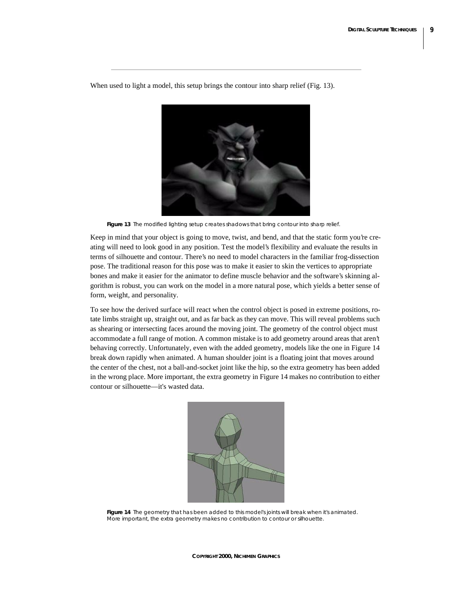When used to light a model, this setup brings the contour into sharp relief (Fig. 13).

*Figure 13 The modified lighting setup creates shadows that bring contour into sharp relief.* 

Keep in mind that your object is going to move, twist, and bend, and that the static form you're creating will need to look good in any position. Test the model's flexibility and evaluate the results in terms of silhouette and contour. There's no need to model characters in the familiar frog-dissection pose. The traditional reason for this pose was to make it easier to skin the vertices to appropriate bones and make it easier for the animator to define muscle behavior and the software's skinning algorithm is robust, you can work on the model in a more natural pose, which yields a better sense of form, weight, and personality.

To see how the derived surface will react when the control object is posed in extreme positions, rotate limbs straight up, straight out, and as far back as they can move. This will reveal problems such as shearing or intersecting faces around the moving joint. The geometry of the control object must accommodate a full range of motion. A common mistake is to add geometry around areas that aren't behaving correctly. Unfortunately, even with the added geometry, models like the one in Figure 14 break down rapidly when animated. A human shoulder joint is a floating joint that moves around the center of the chest, not a ball-and-socket joint like the hip, so the extra geometry has been added in the wrong place. More important, the extra geometry in Figure 14 makes no contribution to either contour or silhouette—it's wasted data.



*Figure 14 The geometry that has been added to this model's joints will break when it's animated. More important, the extra geometry makes no contribution to contour or silhouette.*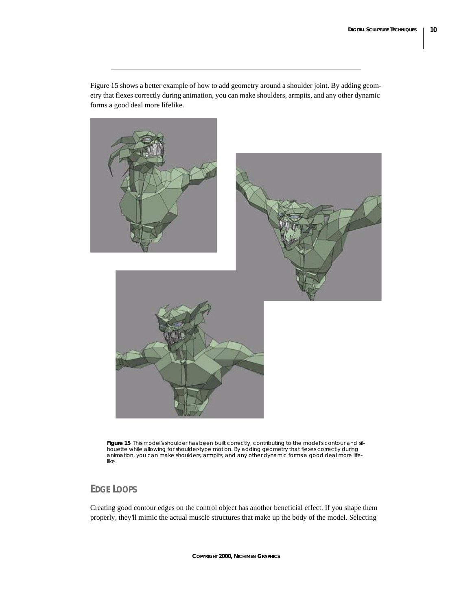Figure 15 shows a better example of how to add geometry around a shoulder joint. By adding geometry that flexes correctly during animation, you can make shoulders, armpits, and any other dynamic forms a good deal more lifelike.



*Figure 15 This model's shoulder has been built correctly, contributing to the model's contour and silhouette while allowing for shoulder-type motion. By adding geometry that flexes correctly during animation, you can make shoulders, armpits, and any other dynamic forms a good deal more lifelike.* 

# **EDGE LOOPS**

Creating good contour edges on the control object has another beneficial effect. If you shape them properly, they'll mimic the actual muscle structures that make up the body of the model. Selecting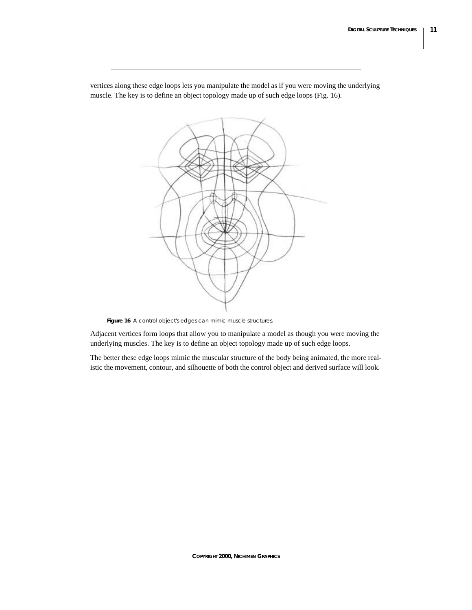

vertices along these edge loops lets you manipulate the model as if you were moving the underlying muscle. The key is to define an object topology made up of such edge loops (Fig. 16).

*Figure 16 A control object's edges can mimic muscle structures.*

Adjacent vertices form loops that allow you to manipulate a model as though you were moving the underlying muscles. The key is to define an object topology made up of such edge loops.

The better these edge loops mimic the muscular structure of the body being animated, the more realistic the movement, contour, and silhouette of both the control object and derived surface will look.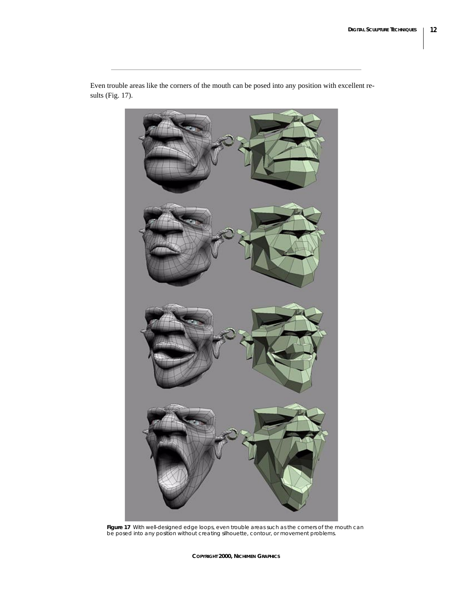

Even trouble areas like the corners of the mouth can be posed into any position with excellent results (Fig. 17).

*Figure 17 With well-designed edge loops, even trouble areas such as the corners of the mouth can be posed into any position without creating silhouette, contour, or movement problems.*